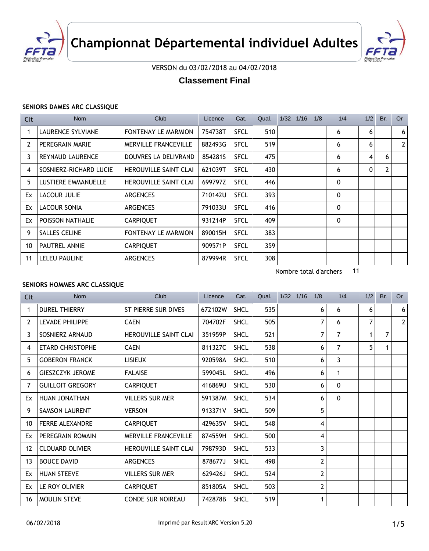



VERSON du 03/02/2018 au 04/02/2018

# **Classement Final**

#### **SENIORS DAMES ARC CLASSIQUE**

| Clt            | <b>Nom</b>                 | Club                         | Licence | Cat.        | Qual. | 1/32 | 1/16 | 1/8 | 1/4          | 1/2 | Br. | <b>Or</b>      |
|----------------|----------------------------|------------------------------|---------|-------------|-------|------|------|-----|--------------|-----|-----|----------------|
|                | <b>LAURENCE SYLVIANE</b>   | FONTENAY LE MARMION          | 754738T | <b>SFCL</b> | 510   |      |      |     | 6            | 6   |     | 6 <sup>1</sup> |
| $\overline{2}$ | PEREGRAIN MARIE            | <b>MERVILLE FRANCEVILLE</b>  | 882493G | <b>SFCL</b> | 519   |      |      |     | 6            | 6   |     | 2 <sup>1</sup> |
| 3              | <b>REYNAUD LAURENCE</b>    | DOUVRES LA DELIVRAND         | 854281S | SFCL        | 475   |      |      |     | 6            | 4   | 6   |                |
| 4              | SOSNIERZ-RICHARD LUCIE     | <b>HEROUVILLE SAINT CLAI</b> | 621039T | SFCL        | 430   |      |      |     | 6            | 0   | 2   |                |
| 5              | <b>LUSTIERE EMMANUELLE</b> | <b>HEROUVILLE SAINT CLAI</b> | 699797Z | SFCL        | 446   |      |      |     | 0            |     |     |                |
| Ex             | <b>LACOUR JULIE</b>        | <b>ARGENCES</b>              | 710142U | SFCL        | 393   |      |      |     | 0            |     |     |                |
| Ex             | <b>LACOUR SONIA</b>        | <b>ARGENCES</b>              | 791033U | <b>SFCL</b> | 416   |      |      |     | 0            |     |     |                |
| Ex             | POISSON NATHALIE           | <b>CARPIQUET</b>             | 931214P | <b>SFCL</b> | 409   |      |      |     | $\mathbf{0}$ |     |     |                |
| 9              | <b>SALLES CELINE</b>       | <b>FONTENAY LE MARMION</b>   | 890015H | <b>SFCL</b> | 383   |      |      |     |              |     |     |                |
| 10             | <b>PAUTREL ANNIE</b>       | <b>CARPIQUET</b>             | 909571P | <b>SFCL</b> | 359   |      |      |     |              |     |     |                |
| 11             | LELEU PAULINE              | <b>ARGENCES</b>              | 879994R | <b>SFCL</b> | 308   |      |      |     |              |     |     |                |

Nombre total d'archers 11

#### **SENIORS HOMMES ARC CLASSIQUE**

| <b>Clt</b>     | <b>Nom</b>              | Club                         | Licence | Cat.        | Qual. | $1/32$ $1/16$ | 1/8 | 1/4            | 1/2 | Br. | <b>Or</b>      |
|----------------|-------------------------|------------------------------|---------|-------------|-------|---------------|-----|----------------|-----|-----|----------------|
| 1              | <b>DUREL THIERRY</b>    | ST PIERRE SUR DIVES          | 672102W | <b>SHCL</b> | 535   |               | 6   | 6              | 6   |     | 6              |
| $\overline{2}$ | <b>LEVADE PHILIPPE</b>  | <b>CAEN</b>                  | 704702F | <b>SHCL</b> | 505   |               | 7   | 6              | 7   |     | $\overline{2}$ |
| 3              | SOSNIERZ ARNAUD         | <b>HEROUVILLE SAINT CLAI</b> | 351959P | <b>SHCL</b> | 521   |               | 7   | 7              | 1   | 7   |                |
| 4              | <b>ETARD CHRISTOPHE</b> | <b>CAEN</b>                  | 811327C | <b>SHCL</b> | 538   |               | 6   | $\overline{7}$ | 5   |     |                |
| 5              | <b>GOBERON FRANCK</b>   | <b>LISIEUX</b>               | 920598A | <b>SHCL</b> | 510   |               | 6   | 3              |     |     |                |
| 6              | <b>GIESZCZYK JEROME</b> | <b>FALAISE</b>               | 599045L | <b>SHCL</b> | 496   |               | 6   | 1              |     |     |                |
| 7              | <b>GUILLOIT GREGORY</b> | <b>CARPIQUET</b>             | 416869U | <b>SHCL</b> | 530   |               | 6   | $\mathbf{0}$   |     |     |                |
| Ex             | HUAN JONATHAN           | <b>VILLERS SUR MER</b>       | 591387M | <b>SHCL</b> | 534   |               | 6   | $\mathbf{0}$   |     |     |                |
| 9              | <b>SAMSON LAURENT</b>   | <b>VERSON</b>                | 913371V | <b>SHCL</b> | 509   |               | 5   |                |     |     |                |
| 10             | <b>FERRE ALEXANDRE</b>  | <b>CARPIQUET</b>             | 429635V | <b>SHCL</b> | 548   |               | 4   |                |     |     |                |
| Ex             | PEREGRAIN ROMAIN        | <b>MERVILLE FRANCEVILLE</b>  | 874559H | <b>SHCL</b> | 500   |               | 4   |                |     |     |                |
| 12             | <b>CLOUARD OLIVIER</b>  | <b>HEROUVILLE SAINT CLAI</b> | 798793D | <b>SHCL</b> | 533   |               | 3   |                |     |     |                |
| 13             | <b>BOUCE DAVID</b>      | <b>ARGENCES</b>              | 878677J | <b>SHCL</b> | 498   |               | 2   |                |     |     |                |
| Ex             | <b>HUAN STEEVE</b>      | <b>VILLERS SUR MER</b>       | 629426J | <b>SHCL</b> | 524   |               | 2   |                |     |     |                |
| Ex             | LE ROY OLIVIER          | <b>CARPIQUET</b>             | 851805A | <b>SHCL</b> | 503   |               | 2   |                |     |     |                |
| 16             | MOULIN STEVE            | <b>CONDE SUR NOIREAU</b>     | 742878B | <b>SHCL</b> | 519   |               | 1   |                |     |     |                |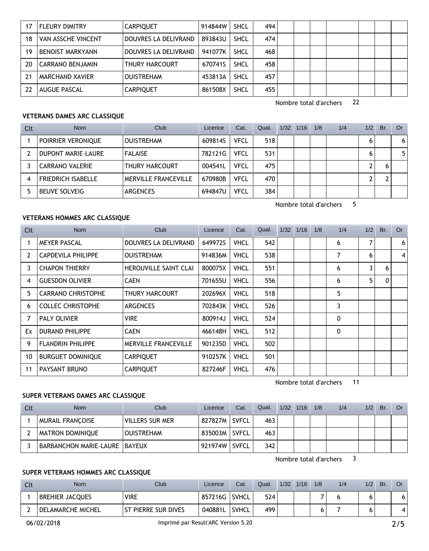| 17 | <b>FLEURY DIMITRY</b>   | <b>CARPIQUET</b>     | 914844W | <b>SHCL</b> | 494 |  |  |  |  |
|----|-------------------------|----------------------|---------|-------------|-----|--|--|--|--|
| 18 | VAN ASSCHE VINCENT      | DOUVRES LA DELIVRAND | 893843U | <b>SHCL</b> | 474 |  |  |  |  |
| 19 | <b>BENOIST MARKYANN</b> | DOUVRES LA DELIVRAND | 941077K | <b>SHCL</b> | 468 |  |  |  |  |
| 20 | CARRANO BENJAMIN        | THURY HARCOURT       | 670741S | <b>SHCL</b> | 458 |  |  |  |  |
| 21 | <b>MARCHAND XAVIER</b>  | <b>OUISTREHAM</b>    | 453813A | <b>SHCL</b> | 457 |  |  |  |  |
| 22 | <b>AUGUE PASCAL</b>     | <b>CARPIQUET</b>     | 861508X | <b>SHCL</b> | 455 |  |  |  |  |

Nombre total d'archers 22

Nombre total d'archers 5

#### **VETERANS DAMES ARC CLASSIQUE**

| Clt | <b>Nom</b>                | Club                  | Licence | Cat.        | Qual. | 1/32 | 1/16 | 1/8 | 1/4 | 1/2 | Br. | Or |
|-----|---------------------------|-----------------------|---------|-------------|-------|------|------|-----|-----|-----|-----|----|
|     | <b>POIRRIER VERONIQUE</b> | <b>OUISTREHAM</b>     | 609814S | VFCL        | 518   |      |      |     |     | 6   |     | 6  |
|     | DUPONT MARIE-LAURE        | <b>FALAISE</b>        | 782121G | <b>VFCL</b> | 531   |      |      |     |     | 6   |     | 5  |
|     | <b>CARRANO VALERIE</b>    | <b>THURY HARCOURT</b> | 004541L | <b>VFCL</b> | 475   |      |      |     |     |     |     |    |
| 4   | <b>FRIEDRICH ISABELLE</b> | MERVILLE FRANCEVILLE  | 670980B | <b>VFCL</b> | 470   |      |      |     |     |     |     |    |
| 5   | <b>BEUVE SOLVEIG</b>      | <b>ARGENCES</b>       | 694847U | <b>VFCL</b> | 384   |      |      |     |     |     |     |    |

## **VETERANS HOMMES ARC CLASSIQUE**

| Clt | <b>Nom</b>                | Club                         | Licence | Cat.        | Qual. | 1/32 | 1/16 | 1/8 | 1/4         | 1/2 | Br.          | <b>Or</b>      |
|-----|---------------------------|------------------------------|---------|-------------|-------|------|------|-----|-------------|-----|--------------|----------------|
|     | <b>MEYER PASCAL</b>       | DOUVRES LA DELIVRAND         | 649972S | <b>VHCL</b> | 542   |      |      |     | 6           | 7   |              | 6 <sup>1</sup> |
| 2   | <b>CAPDEVILA PHILIPPE</b> | <b>OUISTREHAM</b>            | 914836M | <b>VHCL</b> | 538   |      |      |     | 7           | 6   |              | $\vert$        |
| 3   | <b>CHAPON THIERRY</b>     | <b>HEROUVILLE SAINT CLAI</b> | 800075X | <b>VHCL</b> | 551   |      |      |     | 6           | 3   | 6            |                |
| 4   | <b>GUESDON OLIVIER</b>    | <b>CAEN</b>                  | 701655U | <b>VHCL</b> | 556   |      |      |     | 6           | 5   | $\mathbf{0}$ |                |
| 5   | <b>CARRANO CHRISTOPHE</b> | THURY HARCOURT               | 202696X | <b>VHCL</b> | 518   |      |      |     | 5           |     |              |                |
| 6   | <b>COLLEC CHRISTOPHE</b>  | <b>ARGENCES</b>              | 702843K | <b>VHCL</b> | 526   |      |      |     | 3           |     |              |                |
| 7   | <b>PALY OLIVIER</b>       | <b>VIRE</b>                  | 800914J | <b>VHCL</b> | 524   |      |      |     | 0           |     |              |                |
| Ex  | <b>DURAND PHILIPPE</b>    | <b>CAEN</b>                  | 466148H | <b>VHCL</b> | 512   |      |      |     | $\mathbf 0$ |     |              |                |
| 9   | <b>FLANDRIN PHILIPPE</b>  | <b>MERVILLE FRANCEVILLE</b>  | 901235D | <b>VHCL</b> | 502   |      |      |     |             |     |              |                |
| 10  | <b>BURGUET DOMINIQUE</b>  | <b>CARPIQUET</b>             | 910257K | <b>VHCL</b> | 501   |      |      |     |             |     |              |                |
| 11  | PAYSANT BRUNO             | <b>CARPIQUET</b>             | 827246F | <b>VHCL</b> | 476   |      |      |     |             |     |              |                |

Nombre total d'archers 11

## **SUPER VETERANS DAMES ARC CLASSIQUE**

| Clt | Nom                             | Club              | Licence | Cat.         | Qual. | $1/32$ $1/16$ | 1/8 | 1/4 | 1/2 | Br. | Or |
|-----|---------------------------------|-------------------|---------|--------------|-------|---------------|-----|-----|-----|-----|----|
|     | MURAIL FRANCOISE                | WILLERS SUR MER   | 827827M | <b>SVFCL</b> | 463   |               |     |     |     |     |    |
|     | <b>MATRON DOMINIQUE</b>         | <b>OUISTREHAM</b> | 835003M | <b>SVFCL</b> | 463   |               |     |     |     |     |    |
|     | BARBANCHON MARIE-LAURE   BAYEUX |                   | 921974W | <b>SVFCL</b> | 342   |               |     |     |     |     |    |

Nombre total d'archers 3

## **SUPER VETERANS HOMMES ARC CLASSIQUE**

| -Clt | <b>Nom</b>             | Club                  | Licence | Cat.         | Qual. | 1/32 | 1/16 | 1/8 | 1/4 | 1/2 | Br. | Or |
|------|------------------------|-----------------------|---------|--------------|-------|------|------|-----|-----|-----|-----|----|
|      | <b>BREHIER JACQUES</b> | <b>VIRE</b>           | 857216G | <b>SVHCL</b> | 524   |      |      |     |     |     |     |    |
|      | DELAMARCHE MICHEL      | I ST PIERRE SUR DIVES | 040881L | <b>SVHCL</b> | 499   |      |      |     |     |     |     |    |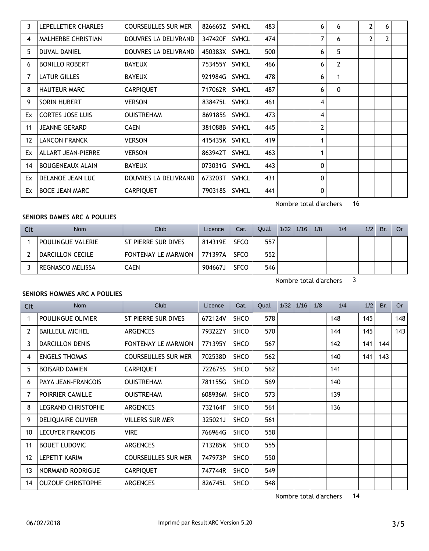| 3  | LEPELLETIER CHARLES       | <b>COURSEULLES SUR MER</b> | 826665Z | <b>SVHCL</b> | 483 |  | 6            | 6              | 2 | 6 |  |
|----|---------------------------|----------------------------|---------|--------------|-----|--|--------------|----------------|---|---|--|
| 4  | <b>MALHERBE CHRISTIAN</b> | DOUVRES LA DELIVRAND       | 347420F | <b>SVHCL</b> | 474 |  | 7            | 6              | 2 | 2 |  |
| 5  | <b>DUVAL DANIEL</b>       | DOUVRES LA DELIVRAND       | 450383X | <b>SVHCL</b> | 500 |  | 6            | 5              |   |   |  |
| 6  | <b>BONILLO ROBERT</b>     | <b>BAYEUX</b>              | 753455Y | <b>SVHCL</b> | 466 |  | 6            | $\overline{2}$ |   |   |  |
| 7  | <b>LATUR GILLES</b>       | <b>BAYEUX</b>              | 921984G | <b>SVHCL</b> | 478 |  | 6            | 1              |   |   |  |
| 8  | <b>HAUTEUR MARC</b>       | <b>CARPIQUET</b>           | 717062R | <b>SVHCL</b> | 487 |  | 6            | 0              |   |   |  |
| 9  | SORIN HUBERT              | <b>VERSON</b>              | 838475L | <b>SVHCL</b> | 461 |  | 4            |                |   |   |  |
| Ex | <b>CORTES JOSE LUIS</b>   | <b>OUISTREHAM</b>          | 869185S | <b>SVHCL</b> | 473 |  | 4            |                |   |   |  |
| 11 | <b>JEANNE GERARD</b>      | <b>CAEN</b>                | 381088B | <b>SVHCL</b> | 445 |  | $\mathbf{2}$ |                |   |   |  |
| 12 | <b>LANCON FRANCK</b>      | VERSON                     | 415435K | <b>SVHCL</b> | 419 |  | 1            |                |   |   |  |
| Ex | <b>ALLART JEAN-PIERRE</b> | <b>VERSON</b>              | 863942T | <b>SVHCL</b> | 463 |  | 1            |                |   |   |  |
| 14 | <b>BOUGENEAUX ALAIN</b>   | <b>BAYEUX</b>              | 073031G | <b>SVHCL</b> | 443 |  | 0            |                |   |   |  |
| Ex | DELANOE JEAN LUC          | DOUVRES LA DELIVRAND       | 673203T | <b>SVHCL</b> | 431 |  | 0            |                |   |   |  |
| Ex | <b>BOCE JEAN MARC</b>     | <b>CARPIQUET</b>           | 790318S | <b>SVHCL</b> | 441 |  | 0            |                |   |   |  |

## SENIORS DAMES ARC A POULIES

| Clt | Nom                      | Club                       | Licence | Cat.        | Qual. | $1/32$ $1/16$ | 1/8 | 1/4 | 1/2 | Br. | Or. |
|-----|--------------------------|----------------------------|---------|-------------|-------|---------------|-----|-----|-----|-----|-----|
|     | <b>POULINGUE VALERIE</b> | ST PIERRE SUR DIVES        | 814319E | <b>SFCO</b> | 557   |               |     |     |     |     |     |
|     | DARCILLON CECILE         | <b>FONTENAY LE MARMION</b> | 771397A | SFCO        | 552   |               |     |     |     |     |     |
|     | <b>REGNASCO MELISSA</b>  | CAEN                       | 904667J | <b>SFCO</b> | 546   |               |     |     |     |     |     |

Nombre total d'archers 3

Nombre total d'archers 16

## SENIORS HOMMES ARC A POULIES

| Clt               | <b>Nom</b>                | <b>Club</b>                | Licence | Cat.        | Qual. | 1/32 | 1/16 | 1/8 | 1/4 | 1/2 | Br. | <b>Or</b> |
|-------------------|---------------------------|----------------------------|---------|-------------|-------|------|------|-----|-----|-----|-----|-----------|
|                   | POULINGUE OLIVIER         | ST PIERRE SUR DIVES        | 672124V | <b>SHCO</b> | 578   |      |      |     | 148 | 145 |     | 148       |
| 2                 | <b>BAILLEUL MICHEL</b>    | <b>ARGENCES</b>            | 793222Y | <b>SHCO</b> | 570   |      |      |     | 144 | 145 |     | 143       |
| 3                 | <b>DARCILLON DENIS</b>    | <b>FONTENAY LE MARMION</b> | 771395Y | <b>SHCO</b> | 567   |      |      |     | 142 | 141 | 144 |           |
| 4                 | <b>ENGELS THOMAS</b>      | <b>COURSEULLES SUR MER</b> | 702538D | <b>SHCO</b> | 562   |      |      |     | 140 | 141 | 143 |           |
| 5                 | <b>BOISARD DAMIEN</b>     | <b>CARPIQUET</b>           | 722675S | <b>SHCO</b> | 562   |      |      |     | 141 |     |     |           |
| 6                 | PAYA JEAN-FRANCOIS        | <b>OUISTREHAM</b>          | 781155G | <b>SHCO</b> | 569   |      |      |     | 140 |     |     |           |
| $\overline{7}$    | POIRRIER CAMILLE          | <b>OUISTREHAM</b>          | 608936M | <b>SHCO</b> | 573   |      |      |     | 139 |     |     |           |
| 8                 | <b>LEGRAND CHRISTOPHE</b> | <b>ARGENCES</b>            | 732164F | <b>SHCO</b> | 561   |      |      |     | 136 |     |     |           |
| 9                 | DELIQUAIRE OLIVIER        | <b>VILLERS SUR MER</b>     | 325021J | <b>SHCO</b> | 561   |      |      |     |     |     |     |           |
| 10                | <b>LECUYER FRANCOIS</b>   | <b>VIRE</b>                | 766964G | <b>SHCO</b> | 558   |      |      |     |     |     |     |           |
| 11                | <b>BOUET LUDOVIC</b>      | <b>ARGENCES</b>            | 713285K | <b>SHCO</b> | 555   |      |      |     |     |     |     |           |
| $12 \overline{ }$ | <b>LEPETIT KARIM</b>      | <b>COURSEULLES SUR MER</b> | 747973P | <b>SHCO</b> | 550   |      |      |     |     |     |     |           |
| 13                | NORMAND RODRIGUE          | <b>CARPIQUET</b>           | 747744R | <b>SHCO</b> | 549   |      |      |     |     |     |     |           |
| 14                | <b>OUZOUF CHRISTOPHE</b>  | <b>ARGENCES</b>            | 826745L | <b>SHCO</b> | 548   |      |      |     |     |     |     |           |

Nombre total d'archers 14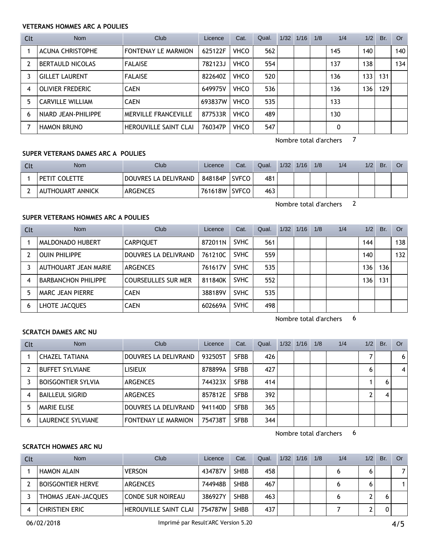### **VETERANS HOMMES ARC A POULIES**

| Clt            | <b>Nom</b>              | Club                         | Licence | Cat.        | Qual. | $1/32$ $1/16$ | 1/8 | 1/4 | 1/2 | Br. | Or  |
|----------------|-------------------------|------------------------------|---------|-------------|-------|---------------|-----|-----|-----|-----|-----|
|                | <b>ACUNA CHRISTOPHE</b> | <b>FONTENAY LE MARMION</b>   | 625122F | <b>VHCO</b> | 562   |               |     | 145 | 140 |     | 140 |
| $\overline{2}$ | <b>BERTAULD NICOLAS</b> | <b>FALAISE</b>               | 782123J | <b>VHCO</b> | 554   |               |     | 137 | 138 |     | 134 |
|                | <b>GILLET LAURENT</b>   | <b>FALAISE</b>               | 822640Z | <b>VHCO</b> | 520   |               |     | 136 | 133 | 131 |     |
| 4              | OLIVIER FREDERIC        | <b>CAEN</b>                  | 649975V | <b>VHCO</b> | 536   |               |     | 136 | 136 | 129 |     |
| 5              | <b>CARVILLE WILLIAM</b> | <b>CAEN</b>                  | 693837W | <b>VHCO</b> | 535   |               |     | 133 |     |     |     |
| 6              | NIARD JEAN-PHILIPPE     | MERVILLE FRANCEVILLE         | 877533R | <b>VHCO</b> | 489   |               |     | 130 |     |     |     |
|                | <b>HAMON BRUNO</b>      | <b>HEROUVILLE SAINT CLAI</b> | 760347P | <b>VHCO</b> | 547   |               |     | 0   |     |     |     |

Nombre total d'archers 7

#### **SUPER VETERANS DAMES ARC A POULIES**

| Clt | Nom              | Club                 | Licence | Cat.         | Qual. | 1/32 | 1/16 | 1/8 | 1/4 | 1/2 | Br. | Or |
|-----|------------------|----------------------|---------|--------------|-------|------|------|-----|-----|-----|-----|----|
|     | PETIT COLETTE    | DOUVRES LA DELIVRAND | 848184P | <b>SVFCO</b> | 481   |      |      |     |     |     |     |    |
|     | AUTHOUART ANNICK | <b>ARGENCES</b>      | 761618W | <b>SVFCO</b> | 463   |      |      |     |     |     |     |    |

Nombre total d'archers 2

## **SUPER VETERANS HOMMES ARC A POULIES**

| Clt | <b>Nom</b>                 | Club                       | Licence | Cat.        | Qual. | 1/32 | 1/16 | 1/8 | 1/4 | 1/2 | Br. | Or . |
|-----|----------------------------|----------------------------|---------|-------------|-------|------|------|-----|-----|-----|-----|------|
|     | MALDONADO HUBERT           | <b>CARPIQUET</b>           | 872011N | <b>SVHC</b> | 561   |      |      |     |     | 144 |     | 138  |
|     | <b>OUIN PHILIPPE</b>       | DOUVRES LA DELIVRAND       | 761210C | <b>SVHC</b> | 559   |      |      |     |     | 140 |     | 132  |
|     | AUTHOUART JEAN MARIE       | <b>ARGENCES</b>            | 761617V | <b>SVHC</b> | 535   |      |      |     |     | 136 | 136 |      |
|     | <b>BARBANCHON PHILIPPE</b> | <b>COURSEULLES SUR MER</b> | 811840K | <b>SVHC</b> | 552   |      |      |     |     | 136 | 131 |      |
|     | MARC JEAN PIERRE           | <b>CAEN</b>                | 388189V | <b>SVHC</b> | 535   |      |      |     |     |     |     |      |
| 6   | LHOTE JACQUES              | <b>CAEN</b>                | 602669A | <b>SVHC</b> | 498   |      |      |     |     |     |     |      |

Nombre total d'archers 6

#### **SCRATCH DAMES ARC NU**

| Clt | <b>Nom</b>                | Club                       | Licence | Cat.        | Qual. | $1/32$ $1/16$ | 1/8 | 1/4 | 1/2 | Br. | Or             |
|-----|---------------------------|----------------------------|---------|-------------|-------|---------------|-----|-----|-----|-----|----------------|
|     | CHAZEL TATIANA            | DOUVRES LA DELIVRAND       | 932505T | <b>SFBB</b> | 426   |               |     |     |     |     | 6 <sup>1</sup> |
|     | <b>BUFFET SYLVIANE</b>    | <b>LISIEUX</b>             | 878899A | <b>SFBB</b> | 427   |               |     |     | 6   |     | $\vert$ 4      |
|     | <b>BOISGONTIER SYLVIA</b> | <b>ARGENCES</b>            | 744323X | <b>SFBB</b> | 414   |               |     |     |     |     |                |
| 4   | <b>BAILLEUL SIGRID</b>    | <b>ARGENCES</b>            | 857812E | <b>SFBB</b> | 392   |               |     |     |     |     |                |
|     | <b>MARIE ELISE</b>        | DOUVRES LA DELIVRAND       | 941140D | <b>SFBB</b> | 365   |               |     |     |     |     |                |
| 6   | LAURENCE SYLVIANE         | <b>FONTENAY LE MARMION</b> | 754738T | <b>SFBB</b> | 344   |               |     |     |     |     |                |

Nombre total d'archers 6

#### **SCRATCH HOMMES ARC NU**

| Clt | <b>Nom</b>               | Club                         | Licence | Cat.        | Qual. | 1/32 | 1/16 | 1/8 | 1/4 | 1/2 | Br. | <b>Or</b> |
|-----|--------------------------|------------------------------|---------|-------------|-------|------|------|-----|-----|-----|-----|-----------|
|     | <b>HAMON ALAIN</b>       | <b>VERSON</b>                | 434787V | <b>SHBB</b> | 458   |      |      |     |     |     |     |           |
|     | <b>BOISGONTIER HERVE</b> | <b>ARGENCES</b>              | 744948B | <b>SHBB</b> | 467   |      |      |     |     |     |     |           |
|     | THOMAS JEAN-JACQUES      | CONDE SUR NOIREAU            | 386927Y | <b>SHBB</b> | 463   |      |      |     |     |     |     |           |
|     | <b>CHRISTIEN ERIC</b>    | <b>HEROUVILLE SAINT CLAI</b> | 754787W | <b>SHBB</b> | 437   |      |      |     |     |     |     |           |